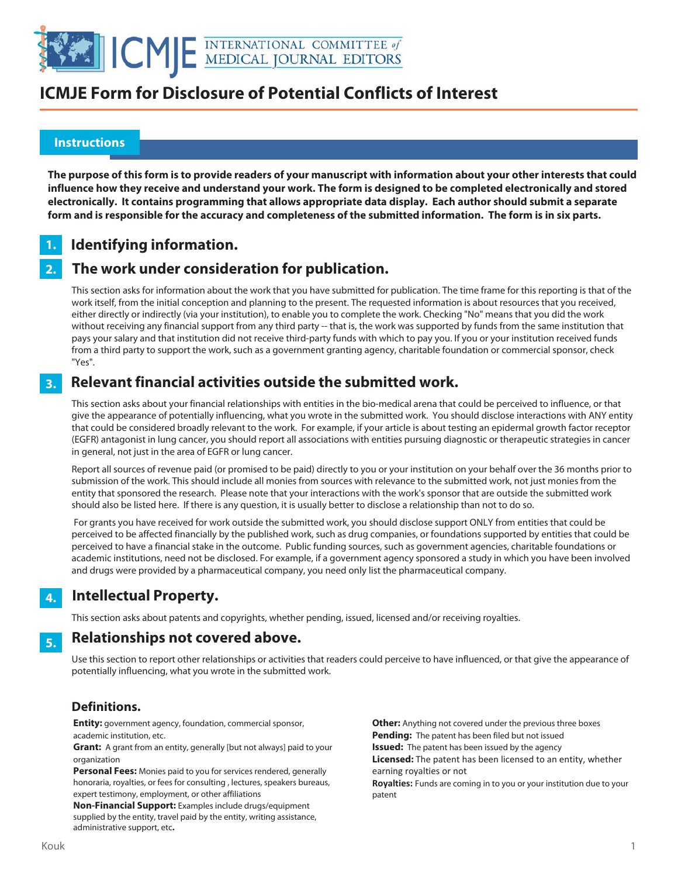

### **Instructions**

 

> **The purpose of this form is to provide readers of your manuscript with information about your other interests that could influence how they receive and understand your work. The form is designed to be completed electronically and stored electronically. It contains programming that allows appropriate data display. Each author should submit a separate form and is responsible for the accuracy and completeness of the submitted information. The form is in six parts.**

### **Identifying information. 1.**

### **The work under consideration for publication. 2.**

This section asks for information about the work that you have submitted for publication. The time frame for this reporting is that of the work itself, from the initial conception and planning to the present. The requested information is about resources that you received, either directly or indirectly (via your institution), to enable you to complete the work. Checking "No" means that you did the work without receiving any financial support from any third party -- that is, the work was supported by funds from the same institution that pays your salary and that institution did not receive third-party funds with which to pay you. If you or your institution received funds from a third party to support the work, such as a government granting agency, charitable foundation or commercial sponsor, check "Yes".

### **Relevant financial activities outside the submitted work. 3.**

This section asks about your financial relationships with entities in the bio-medical arena that could be perceived to influence, or that give the appearance of potentially influencing, what you wrote in the submitted work. You should disclose interactions with ANY entity that could be considered broadly relevant to the work. For example, if your article is about testing an epidermal growth factor receptor (EGFR) antagonist in lung cancer, you should report all associations with entities pursuing diagnostic or therapeutic strategies in cancer in general, not just in the area of EGFR or lung cancer.

Report all sources of revenue paid (or promised to be paid) directly to you or your institution on your behalf over the 36 months prior to submission of the work. This should include all monies from sources with relevance to the submitted work, not just monies from the entity that sponsored the research. Please note that your interactions with the work's sponsor that are outside the submitted work should also be listed here. If there is any question, it is usually better to disclose a relationship than not to do so.

 For grants you have received for work outside the submitted work, you should disclose support ONLY from entities that could be perceived to be affected financially by the published work, such as drug companies, or foundations supported by entities that could be perceived to have a financial stake in the outcome. Public funding sources, such as government agencies, charitable foundations or academic institutions, need not be disclosed. For example, if a government agency sponsored a study in which you have been involved and drugs were provided by a pharmaceutical company, you need only list the pharmaceutical company.

### **Intellectual Property. 4.**

This section asks about patents and copyrights, whether pending, issued, licensed and/or receiving royalties.

### **Relationships not covered above. 5.**

Use this section to report other relationships or activities that readers could perceive to have influenced, or that give the appearance of potentially influencing, what you wrote in the submitted work.

### **Definitions.**

**Entity:** government agency, foundation, commercial sponsor, academic institution, etc.

**Grant:** A grant from an entity, generally [but not always] paid to your organization

**Personal Fees:** Monies paid to you for services rendered, generally honoraria, royalties, or fees for consulting , lectures, speakers bureaus, expert testimony, employment, or other affiliations

**Non-Financial Support:** Examples include drugs/equipment supplied by the entity, travel paid by the entity, writing assistance, administrative support, etc**.**

**Other:** Anything not covered under the previous three boxes **Pending:** The patent has been filed but not issued **Issued:** The patent has been issued by the agency **Licensed:** The patent has been licensed to an entity, whether earning royalties or not

**Royalties:** Funds are coming in to you or your institution due to your patent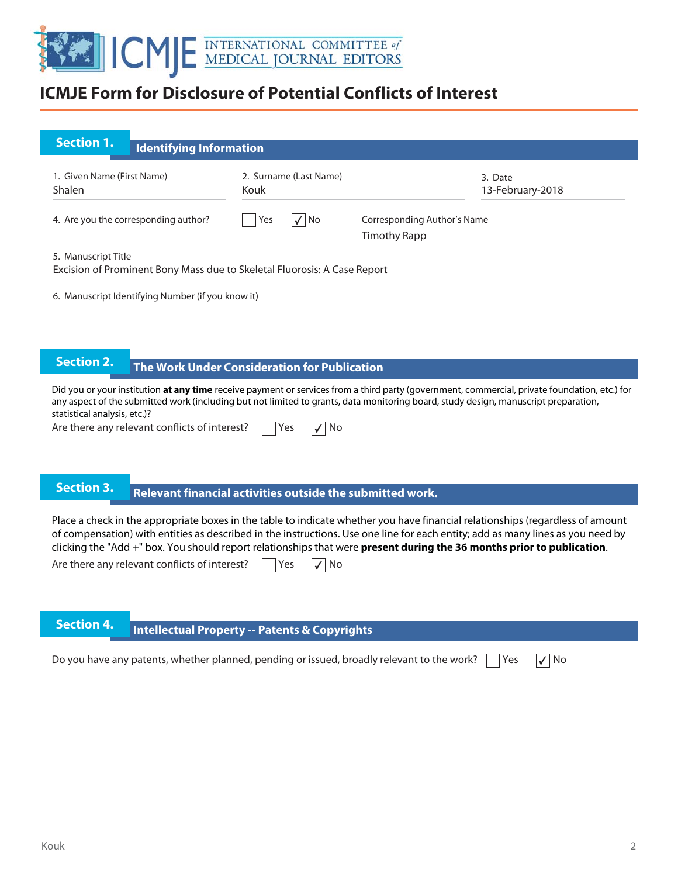

| <b>Section 1.</b>                    |                                                   |                                                                          |                                                                                                                                                                                                                                                                                      |                  |
|--------------------------------------|---------------------------------------------------|--------------------------------------------------------------------------|--------------------------------------------------------------------------------------------------------------------------------------------------------------------------------------------------------------------------------------------------------------------------------------|------------------|
|                                      | <b>Identifying Information</b>                    |                                                                          |                                                                                                                                                                                                                                                                                      |                  |
| 1. Given Name (First Name)<br>Shalen |                                                   | 2. Surname (Last Name)<br>Kouk                                           | 3. Date                                                                                                                                                                                                                                                                              | 13-February-2018 |
| 4. Are you the corresponding author? |                                                   | Yes<br>$\sqrt{ N_{0}}$                                                   | Corresponding Author's Name                                                                                                                                                                                                                                                          |                  |
|                                      |                                                   |                                                                          | <b>Timothy Rapp</b>                                                                                                                                                                                                                                                                  |                  |
| 5. Manuscript Title                  |                                                   | Excision of Prominent Bony Mass due to Skeletal Fluorosis: A Case Report |                                                                                                                                                                                                                                                                                      |                  |
|                                      | 6. Manuscript Identifying Number (if you know it) |                                                                          |                                                                                                                                                                                                                                                                                      |                  |
|                                      |                                                   |                                                                          |                                                                                                                                                                                                                                                                                      |                  |
|                                      |                                                   |                                                                          |                                                                                                                                                                                                                                                                                      |                  |
| <b>Section 2.</b>                    |                                                   | <b>The Work Under Consideration for Publication</b>                      |                                                                                                                                                                                                                                                                                      |                  |
| statistical analysis, etc.)?         |                                                   |                                                                          | Did you or your institution at any time receive payment or services from a third party (government, commercial, private foundation, etc.) for<br>any aspect of the submitted work (including but not limited to grants, data monitoring board, study design, manuscript preparation, |                  |
|                                      | Are there any relevant conflicts of interest?     | Yes<br>$\sqrt{ NQ}$                                                      |                                                                                                                                                                                                                                                                                      |                  |

# **Relevant financial activities outside the submitted work. Section 3. Relevant financial activities outset**

Place a check in the appropriate boxes in the table to indicate whether you have financial relationships (regardless of amount of compensation) with entities as described in the instructions. Use one line for each entity; add as many lines as you need by clicking the "Add +" box. You should report relationships that were **present during the 36 months prior to publication**.

Are there any relevant conflicts of interest?  $\Box$  Yes  $\Box$  No

# **Intellectual Property -- Patents & Copyrights**

Do you have any patents, whether planned, pending or issued, broadly relevant to the work?  $\vert \ \vert$  Yes  $\vert \sqrt{\vert N}$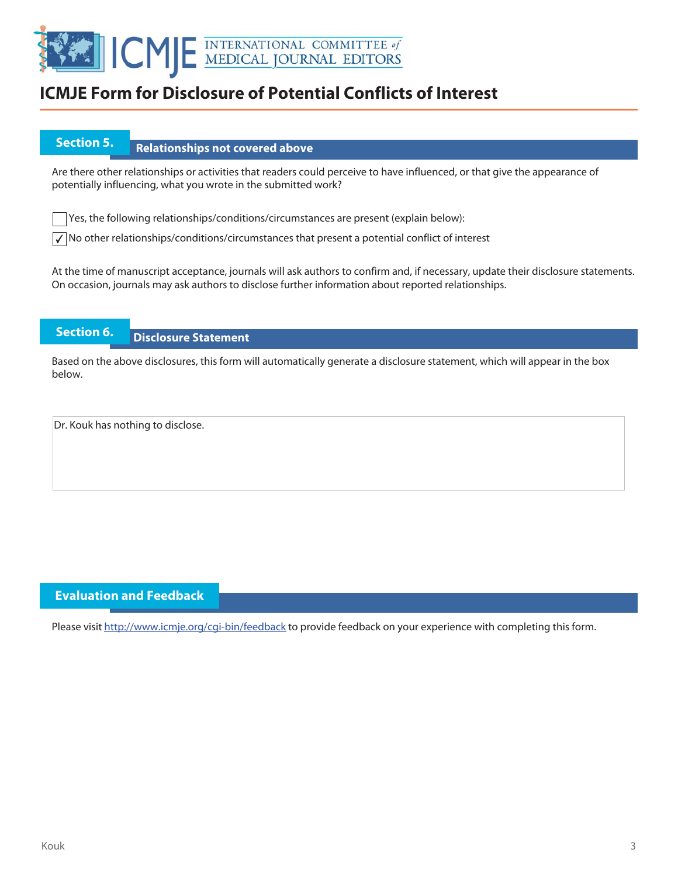

## **Section 5.** Relationships not covered above

Are there other relationships or activities that readers could perceive to have influenced, or that give the appearance of potentially influencing, what you wrote in the submitted work?

Yes, the following relationships/conditions/circumstances are present (explain below):

 $\sqrt{\ }$  No other relationships/conditions/circumstances that present a potential conflict of interest

At the time of manuscript acceptance, journals will ask authors to confirm and, if necessary, update their disclosure statements. On occasion, journals may ask authors to disclose further information about reported relationships.

## **Section 6. Disclosure Statement**

Based on the above disclosures, this form will automatically generate a disclosure statement, which will appear in the box below.

Dr. Kouk has nothing to disclose.

### **Evaluation and Feedback**

Please visit http://www.icmje.org/cgi-bin/feedback to provide feedback on your experience with completing this form.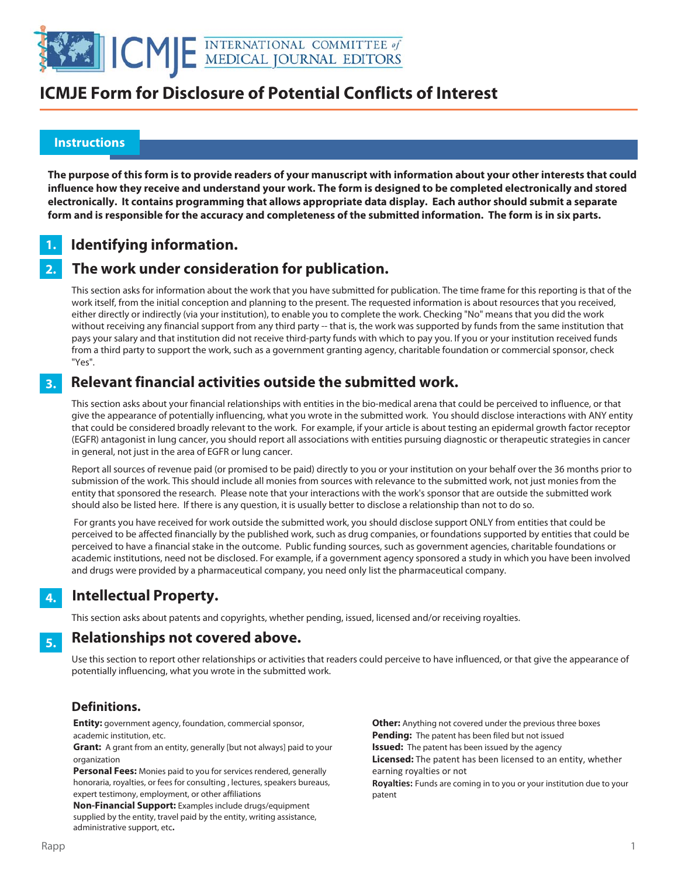

### **Instructions**

 

> **The purpose of this form is to provide readers of your manuscript with information about your other interests that could influence how they receive and understand your work. The form is designed to be completed electronically and stored electronically. It contains programming that allows appropriate data display. Each author should submit a separate form and is responsible for the accuracy and completeness of the submitted information. The form is in six parts.**

### **Identifying information. 1.**

### **The work under consideration for publication. 2.**

This section asks for information about the work that you have submitted for publication. The time frame for this reporting is that of the work itself, from the initial conception and planning to the present. The requested information is about resources that you received, either directly or indirectly (via your institution), to enable you to complete the work. Checking "No" means that you did the work without receiving any financial support from any third party -- that is, the work was supported by funds from the same institution that pays your salary and that institution did not receive third-party funds with which to pay you. If you or your institution received funds from a third party to support the work, such as a government granting agency, charitable foundation or commercial sponsor, check "Yes".

### **Relevant financial activities outside the submitted work. 3.**

This section asks about your financial relationships with entities in the bio-medical arena that could be perceived to influence, or that give the appearance of potentially influencing, what you wrote in the submitted work. You should disclose interactions with ANY entity that could be considered broadly relevant to the work. For example, if your article is about testing an epidermal growth factor receptor (EGFR) antagonist in lung cancer, you should report all associations with entities pursuing diagnostic or therapeutic strategies in cancer in general, not just in the area of EGFR or lung cancer.

Report all sources of revenue paid (or promised to be paid) directly to you or your institution on your behalf over the 36 months prior to submission of the work. This should include all monies from sources with relevance to the submitted work, not just monies from the entity that sponsored the research. Please note that your interactions with the work's sponsor that are outside the submitted work should also be listed here. If there is any question, it is usually better to disclose a relationship than not to do so.

 For grants you have received for work outside the submitted work, you should disclose support ONLY from entities that could be perceived to be affected financially by the published work, such as drug companies, or foundations supported by entities that could be perceived to have a financial stake in the outcome. Public funding sources, such as government agencies, charitable foundations or academic institutions, need not be disclosed. For example, if a government agency sponsored a study in which you have been involved and drugs were provided by a pharmaceutical company, you need only list the pharmaceutical company.

### **Intellectual Property. 4.**

This section asks about patents and copyrights, whether pending, issued, licensed and/or receiving royalties.

### **Relationships not covered above. 5.**

Use this section to report other relationships or activities that readers could perceive to have influenced, or that give the appearance of potentially influencing, what you wrote in the submitted work.

### **Definitions.**

**Entity:** government agency, foundation, commercial sponsor, academic institution, etc.

**Grant:** A grant from an entity, generally [but not always] paid to your organization

**Personal Fees:** Monies paid to you for services rendered, generally honoraria, royalties, or fees for consulting , lectures, speakers bureaus, expert testimony, employment, or other affiliations

**Non-Financial Support:** Examples include drugs/equipment supplied by the entity, travel paid by the entity, writing assistance, administrative support, etc**.**

**Other:** Anything not covered under the previous three boxes **Pending:** The patent has been filed but not issued **Issued:** The patent has been issued by the agency **Licensed:** The patent has been licensed to an entity, whether earning royalties or not

**Royalties:** Funds are coming in to you or your institution due to your patent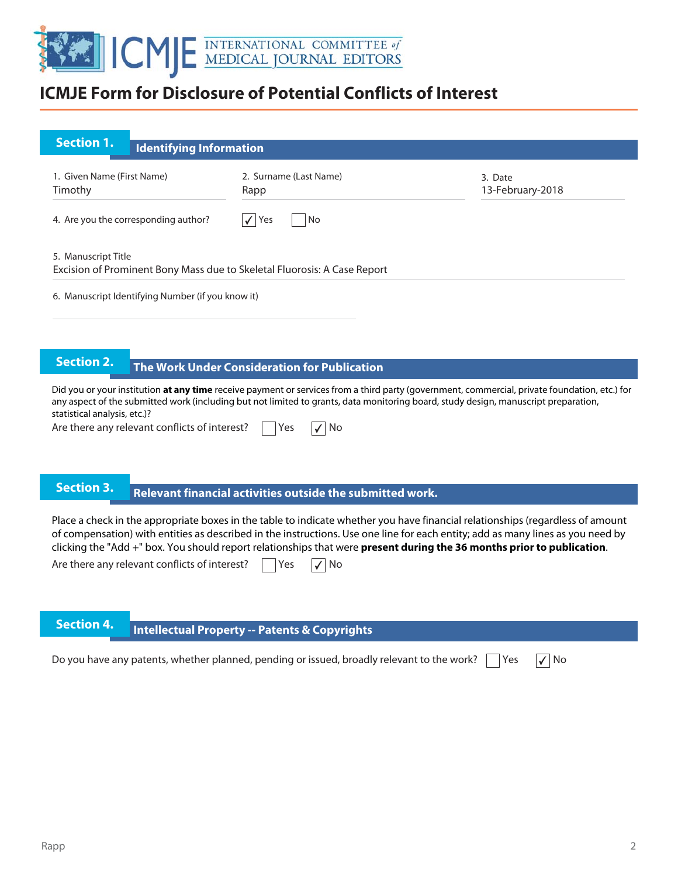

| <b>Section 1.</b>                     | <b>Identifying Information</b>                    |                                                                          |                             |
|---------------------------------------|---------------------------------------------------|--------------------------------------------------------------------------|-----------------------------|
| 1. Given Name (First Name)<br>Timothy |                                                   | 2. Surname (Last Name)<br>Rapp                                           | 3. Date<br>13-February-2018 |
|                                       | 4. Are you the corresponding author?              | $\sqrt{Y}$<br>No                                                         |                             |
| 5. Manuscript Title                   |                                                   | Excision of Prominent Bony Mass due to Skeletal Fluorosis: A Case Report |                             |
|                                       | 6. Manuscript Identifying Number (if you know it) |                                                                          |                             |
| <b>Section 2.</b>                     |                                                   |                                                                          |                             |

Did you or your institution **at any time** receive payment or services from a third party (government, commercial, private foundation, etc.) for any aspect of the submitted work (including but not limited to grants, data monitoring board, study design, manuscript preparation, statistical analysis, etc.)?

Are there any relevant conflicts of interest?  $\Box$  Yes  $\Box$  No

## **Relevant financial activities outside the submitted work. Section 3. Relevant financial activities outset**

Place a check in the appropriate boxes in the table to indicate whether you have financial relationships (regardless of amount of compensation) with entities as described in the instructions. Use one line for each entity; add as many lines as you need by clicking the "Add +" box. You should report relationships that were **present during the 36 months prior to publication**.

Are there any relevant conflicts of interest?  $\Box$  Yes  $\Box$  No

# **Intellectual Property -- Patents & Copyrights**

Do you have any patents, whether planned, pending or issued, broadly relevant to the work?  $\vert \ \vert$  Yes  $\vert \sqrt{\vert N}$